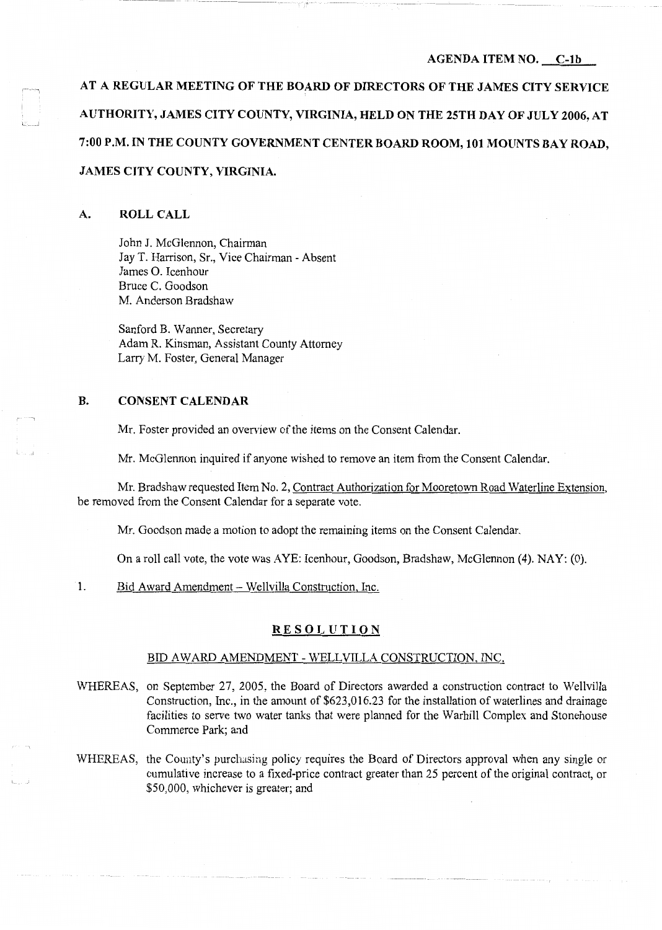#### **AGENDA ITEM NO. \_\_ C-1b**

**AT A REGULAR MEETING OF THE BOARD OF DIRECTORS OF THE JAMES CITY SERVICE AUTHORITY, JAMES CITY COUNTY, VIRGINIA, HELD ON THE 25TH DAY OF JULY 2006, AT 7:00 P.M. IN THE COUNTY GOVERNMENT CENTER BOARD ROOM, 101 MOUNTS BAY ROAD, JAMES CITY COUNTY, VIRGINIA.** 

## **A. ROLL CALL**

l - \_J

John J. McGlennon, Chairman Jay T. Harrison, Sr., Vice Chairman - Absent James 0. Icenhour Bruce C. Goodson M. Anderson Bradshaw

Sanford B. Wanner, Secretary Adam R. Kinsman, Assistant County Attorney Larry M. Foster, General Manager

## **B. CONSENT CALENDAR**

Mr. Foster provided an overview of the items on the Consent Calendar.

Mr. McGlennon inquired if anyone wished to remove an item from the Consent Calendar.

Mr. Bradshaw requested Item No. 2, Contract Authorization for Mooretown Road Waterline Extension, be removed from the Consent Calendar for a separate vote.

Mr. Goodson made a motion to adopt the remaining items on the Consent Calendar.

On a roll call vote, the vote was AYE: Icenhour, Goodson, Bradshaw, McGlennon (4). NAY: (0).

1. Bid Award Amendment - Wellvilla Construction, Inc.

## **RESOLUTION**

## BID A WARD AMENDMENT - WELL VILLA CONSTRUCTION, INC.

- WHEREAS, on September 27, 2005, the Board of Directors awarded a construction contract to Wellvilla Construction, Inc., in the amount of \$623,016.23 for the installation of waterlines and drainage facilities to serve two water tanks that were planned for the Warhill Complex and Stonehouse Commerce Park; and
- WHEREAS, the County's purchasing policy requires the Board of Directors approval when any single or cumulative increase to a fixed-price contract greater than 25 percent of the original contract, or \$50,000, whichever is greater; and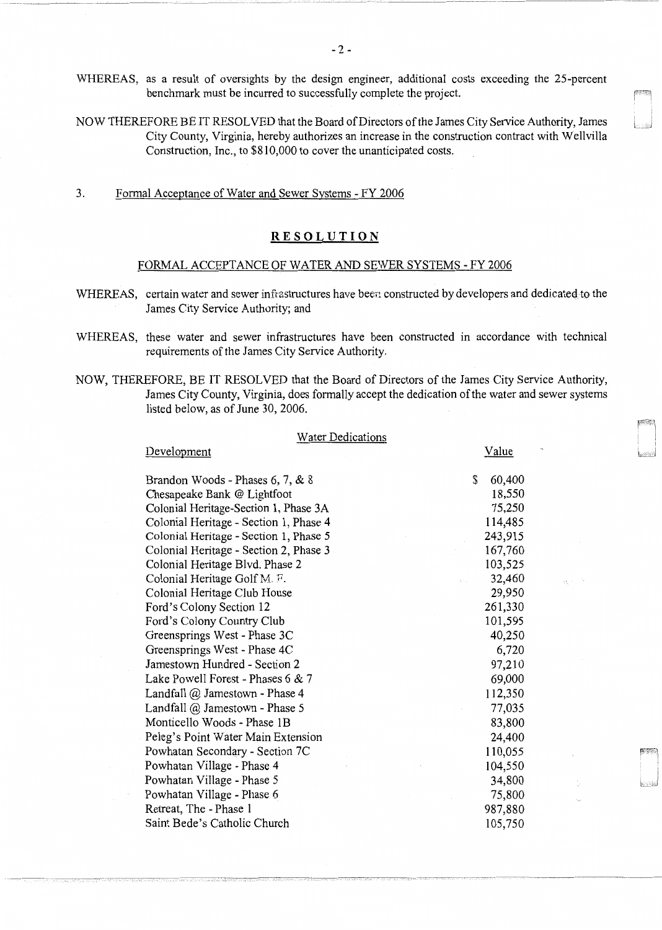WHEREAS, as a result of oversights by the design engineer, additional costs exceeding the 25-percent benchmark must be incurred to successfully complete the project.

NOW THEREFORE BE IT RESOLVED that the Board of Directors of the James City Service Authority, James City County, Virginia, hereby authorizes an increase in the construction contract with Wellvilla Construction, Inc., to \$810,000 to cover the unanticipated costs.

3. Formal Acceptance of Water and Sewer Systems - FY 2006

Development

## **RESOLUTION**

#### FORMAL ACCEPTANCE OF WATER AND SEWER SYSTEMS - FY 2006

- WHEREAS, certain water and sewer infrastructures have been constructed by developers and dedicated to the James City Service Authority; and
- WHEREAS, these water and sewer infrastructures have been constructed in accordance with technical requirements of the James City Service Authority.
- NOW, THEREFORE, BE IT RESOLVED that the Board of Directors of the James City Service Authority, James City County, Virginia, does formally accept the dedication of the water and sewer systems listed below, as of June 30, 2006.

#### Water Dedications

Value

| \$<br>60,400 |
|--------------|
| 18,550       |
| 75,250       |
| 114,485      |
| 243,915      |
| 167,760      |
| 103,525      |
| 32,460       |
| 29,950       |
| 261,330      |
| 101,595      |
| 40,250       |
| 6,720        |
| 97,210       |
| 69,000       |
| 112,350      |
| 77,035       |
| 83,800       |
| 24,400       |
| 110,055      |
| 104,550      |
| 34,800       |
| 75,800       |
| 987,880      |
| 105,750      |
|              |

---------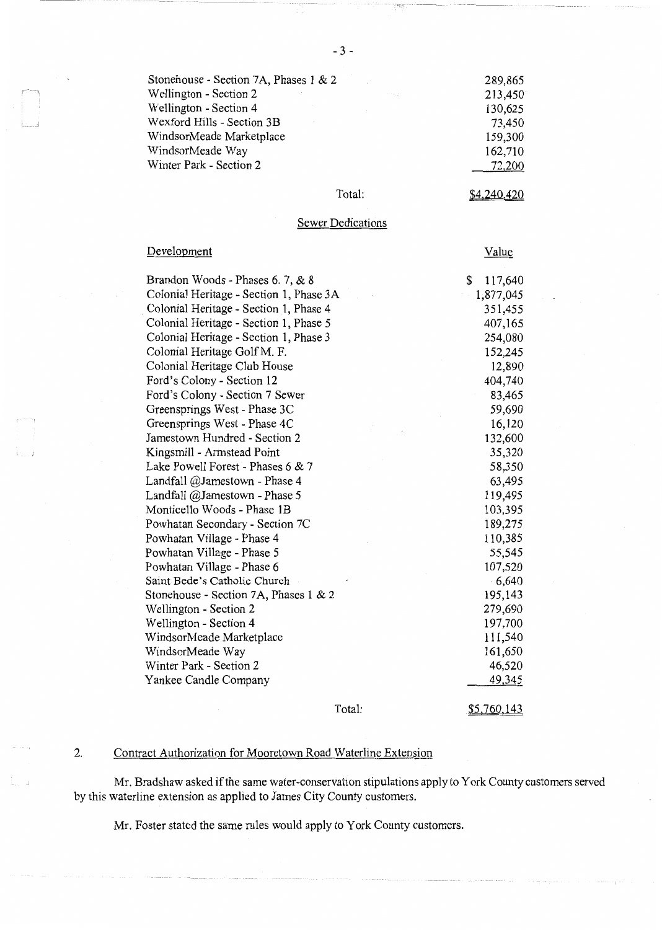| Stonehouse - Section 7A, Phases 1 & 2   |              | 289,865 |
|-----------------------------------------|--------------|---------|
| Wellington - Section 2<br>$\sim$ $\sim$ | The business | 213,450 |
| Wellington - Section 4                  |              | 130,625 |
| Wexford Hills - Section 3B              |              | 73,450  |
| WindsorMeade Marketplace                |              | 159,300 |
| WindsorMeade Way                        |              | 162,710 |
| Winter Park - Section 2                 |              | 72,200  |

## Total:

\$4.240.420

# Sewer Dedications

| Development                             | Value         |
|-----------------------------------------|---------------|
| Brandon Woods - Phases 6. 7, & 8        | \$<br>117,640 |
| Colonial Heritage - Section 1, Phase 3A | 1,877,045     |
| Colonial Heritage - Section 1, Phase 4  | 351,455       |
| Colonial Heritage - Section 1, Phase 5  | 407,165       |
| Colonial Heritage - Section 1, Phase 3  | 254,080       |
| Colonial Heritage Golf M. F.            | 152,245       |
| Colonial Heritage Club House            | 12,890        |
| Ford's Colony - Section 12              | 404,740       |
| Ford's Colony - Section 7 Sewer         | 83,465        |
| Greensprings West - Phase 3C            | 59,690        |
| Greensprings West - Phase 4C            | 16,120        |
| Jamestown Hundred - Section 2           | 132,600       |
| Kingsmill - Armstead Point              | 35,320        |
| Lake Powell Forest - Phases 6 & 7       | 58,350        |
| Landfall @Jamestown - Phase 4           | 63,495        |
| Landfall @Jamestown - Phase 5           | 119,495       |
| Monticello Woods - Phase 1B             | 103,395       |
| Powhatan Secondary - Section 7C         | 189,275       |
| Powhatan Village - Phase 4              | 110,385       |
| Powhatan Village - Phase 5              | 55,545        |
| Powhatan Village - Phase 6              | 107,520       |
| Saint Bede's Catholic Church            | 6,640         |
| Stonehouse - Section 7A, Phases 1 & 2   | 195,143       |
| Wellington - Section 2                  | 279,690       |
| Wellington - Section 4                  | 197,700       |
| WindsorMeade Marketplace                | 111,540       |
| WindsorMeade Way                        | 161,650       |
| Winter Park - Section 2                 | 46,520        |
| Yankee Candle Company                   | 49,345        |
|                                         |               |

Total:

\$5.760.143

# 2. Contract Authorization for Mooretown Road Waterline Extension

Mr. Bradshaw asked if the same water-conservation stipulations apply to York County customers served by this waterline extension as applied to James City County customers.

Mr. Foster stated the same rules would apply to York County customers.